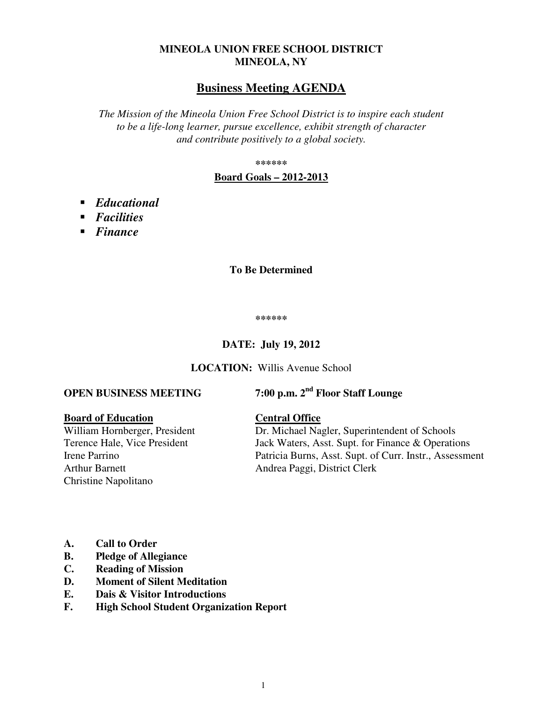## **MINEOLA UNION FREE SCHOOL DISTRICT MINEOLA, NY**

# **Business Meeting AGENDA**

*The Mission of the Mineola Union Free School District is to inspire each student to be a life-long learner, pursue excellence, exhibit strength of character and contribute positively to a global society.* 

**\*\*\*\*\*\*** 

#### **Board Goals – 2012-2013**

- *Educational*
- *Facilities*
- *Finance*

#### **To Be Determined**

**\*\*\*\*\*\*** 

#### **DATE: July 19, 2012**

**LOCATION:** Willis Avenue School

# **OPEN BUSINESS MEETING 7:00 p.m. 2nd Floor Staff Lounge**

**Board of Education**<br>William Hornberger, President **Central Office**<br>Dr. Michael Na Arthur Barnett Andrea Paggi, District Clerk Christine Napolitano

Dr. Michael Nagler, Superintendent of Schools Terence Hale, Vice President Jack Waters, Asst. Supt. for Finance & Operations Irene Parrino Patricia Burns, Asst. Supt. of Curr. Instr., Assessment

- **A. Call to Order**
- **B. Pledge of Allegiance**
- **C. Reading of Mission**
- **D. Moment of Silent Meditation**
- **E. Dais & Visitor Introductions**
- **F. High School Student Organization Report**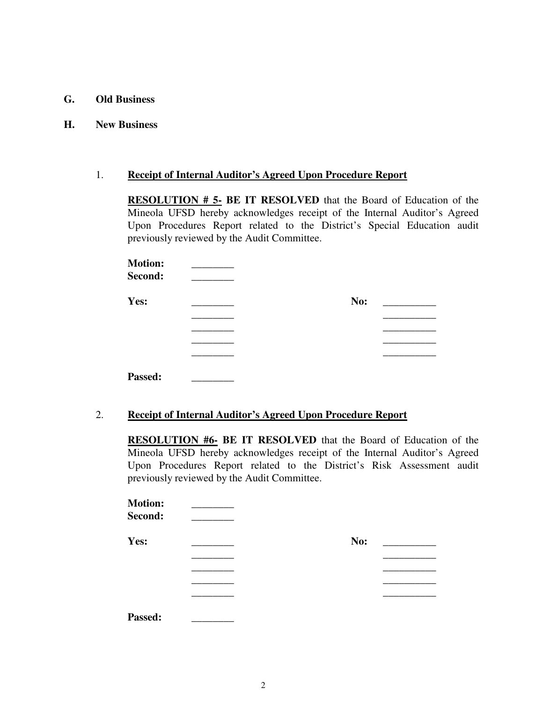- **G. Old Business**
- **H. New Business**

#### 1. **Receipt of Internal Auditor's Agreed Upon Procedure Report**

**RESOLUTION # 5- BE IT RESOLVED** that the Board of Education of the Mineola UFSD hereby acknowledges receipt of the Internal Auditor's Agreed Upon Procedures Report related to the District's Special Education audit previously reviewed by the Audit Committee.

| <b>Motion:</b><br>Second: |     |  |
|---------------------------|-----|--|
| Yes:                      | No: |  |
|                           |     |  |
|                           |     |  |
|                           |     |  |
|                           |     |  |
| Passed:                   |     |  |

#### 2. **Receipt of Internal Auditor's Agreed Upon Procedure Report**

**RESOLUTION #6- BE IT RESOLVED** that the Board of Education of the Mineola UFSD hereby acknowledges receipt of the Internal Auditor's Agreed Upon Procedures Report related to the District's Risk Assessment audit previously reviewed by the Audit Committee.

| <b>Motion:</b><br>Second: |     |  |
|---------------------------|-----|--|
| Yes:                      | No: |  |
|                           |     |  |
|                           |     |  |
|                           |     |  |
|                           |     |  |
| Passed:                   |     |  |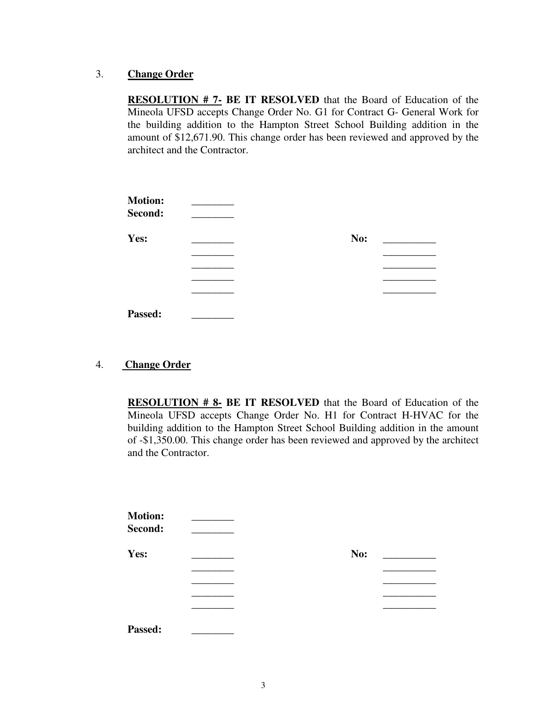#### 3. **Change Order**

**RESOLUTION # 7- BE IT RESOLVED** that the Board of Education of the Mineola UFSD accepts Change Order No. G1 for Contract G- General Work for the building addition to the Hampton Street School Building addition in the amount of \$12,671.90. This change order has been reviewed and approved by the architect and the Contractor.

| <b>Motion:</b><br>Second: |     |  |
|---------------------------|-----|--|
| Yes:                      | No: |  |
|                           |     |  |
|                           |     |  |
|                           |     |  |
|                           |     |  |
| Passed:                   |     |  |

### 4. **Change Order**

**RESOLUTION # 8- BE IT RESOLVED** that the Board of Education of the Mineola UFSD accepts Change Order No. H1 for Contract H-HVAC for the building addition to the Hampton Street School Building addition in the amount of -\$1,350.00. This change order has been reviewed and approved by the architect and the Contractor.

| <b>Motion:</b><br>Second: |     |  |
|---------------------------|-----|--|
| Yes:                      | No: |  |
|                           |     |  |
|                           |     |  |
|                           |     |  |
|                           |     |  |
| Passed:                   |     |  |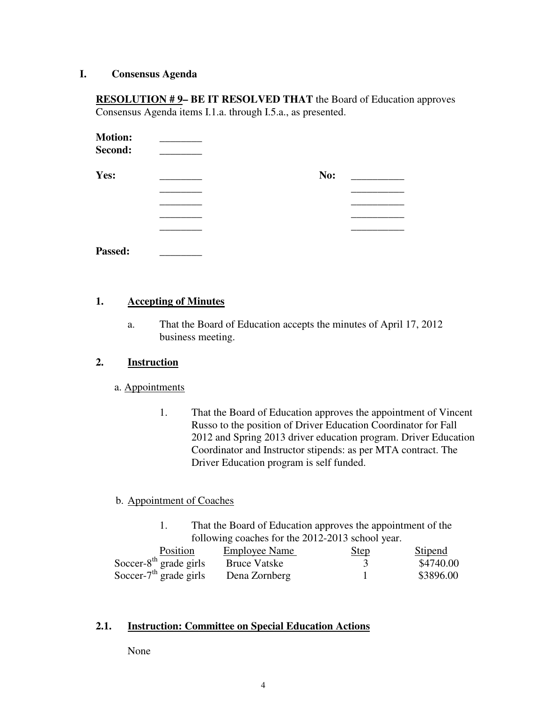#### **I. Consensus Agenda**

**RESOLUTION # 9- BE IT RESOLVED THAT** the Board of Education approves Consensus Agenda items I.1.a. through I.5.a., as presented.

| <b>Motion:</b><br>Second: |     |
|---------------------------|-----|
| Yes:                      | No: |
|                           |     |
|                           |     |
|                           |     |
|                           |     |
| Passed:                   |     |

# **1. Accepting of Minutes**

a. That the Board of Education accepts the minutes of April 17, 2012 business meeting.

#### **2. Instruction**

#### a. Appointments

1. That the Board of Education approves the appointment of Vincent Russo to the position of Driver Education Coordinator for Fall 2012 and Spring 2013 driver education program. Driver Education Coordinator and Instructor stipends: as per MTA contract. The Driver Education program is self funded.

#### b. Appointment of Coaches

1. That the Board of Education approves the appointment of the following coaches for the 2012-2013 school year.

| Position                  | <b>Employee Name</b> | <u>Step</u> | <b>Stipend</b> |
|---------------------------|----------------------|-------------|----------------|
| Soccer- $8th$ grade girls | Bruce Vatske         |             | \$4740.00      |
| Soccer- $7th$ grade girls | Dena Zornberg        |             | \$3896.00      |

#### **2.1. Instruction: Committee on Special Education Actions**

None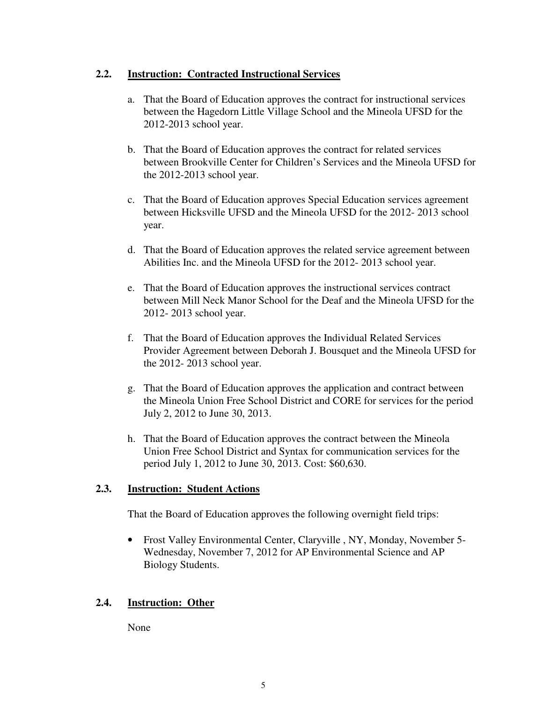## **2.2. Instruction: Contracted Instructional Services**

- a. That the Board of Education approves the contract for instructional services between the Hagedorn Little Village School and the Mineola UFSD for the 2012-2013 school year.
- b. That the Board of Education approves the contract for related services between Brookville Center for Children's Services and the Mineola UFSD for the 2012-2013 school year.
- c. That the Board of Education approves Special Education services agreement between Hicksville UFSD and the Mineola UFSD for the 2012- 2013 school year.
- d. That the Board of Education approves the related service agreement between Abilities Inc. and the Mineola UFSD for the 2012- 2013 school year.
- e. That the Board of Education approves the instructional services contract between Mill Neck Manor School for the Deaf and the Mineola UFSD for the 2012- 2013 school year.
- f. That the Board of Education approves the Individual Related Services Provider Agreement between Deborah J. Bousquet and the Mineola UFSD for the 2012- 2013 school year.
- g. That the Board of Education approves the application and contract between the Mineola Union Free School District and CORE for services for the period July 2, 2012 to June 30, 2013.
- h. That the Board of Education approves the contract between the Mineola Union Free School District and Syntax for communication services for the period July 1, 2012 to June 30, 2013. Cost: \$60,630.

# **2.3. Instruction: Student Actions**

That the Board of Education approves the following overnight field trips:

• Frost Valley Environmental Center, Claryville , NY, Monday, November 5- Wednesday, November 7, 2012 for AP Environmental Science and AP Biology Students.

# **2.4. Instruction: Other**

None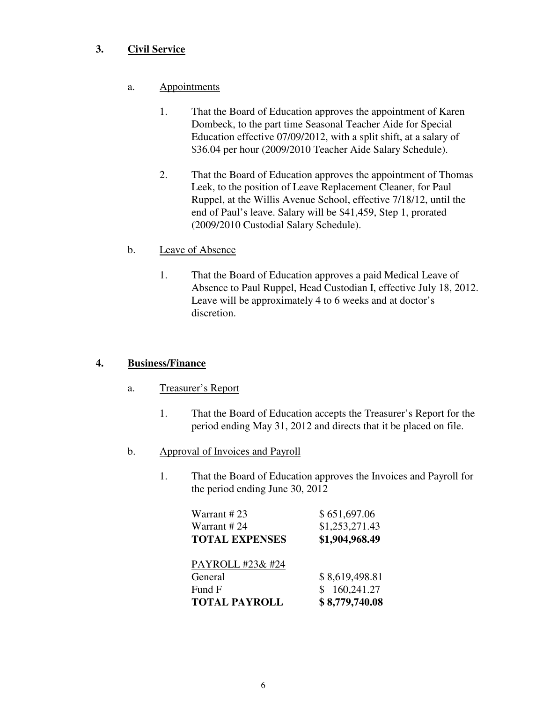# **3. Civil Service**

- a. Appointments
	- 1. That the Board of Education approves the appointment of Karen Dombeck, to the part time Seasonal Teacher Aide for Special Education effective 07/09/2012, with a split shift, at a salary of \$36.04 per hour (2009/2010 Teacher Aide Salary Schedule).
	- 2. That the Board of Education approves the appointment of Thomas Leek, to the position of Leave Replacement Cleaner, for Paul Ruppel, at the Willis Avenue School, effective 7/18/12, until the end of Paul's leave. Salary will be \$41,459, Step 1, prorated (2009/2010 Custodial Salary Schedule).

## b. Leave of Absence

1. That the Board of Education approves a paid Medical Leave of Absence to Paul Ruppel, Head Custodian I, effective July 18, 2012. Leave will be approximately 4 to 6 weeks and at doctor's discretion.

# **4. Business/Finance**

- a. Treasurer's Report
	- 1. That the Board of Education accepts the Treasurer's Report for the period ending May 31, 2012 and directs that it be placed on file.
- b. Approval of Invoices and Payroll
	- 1. That the Board of Education approves the Invoices and Payroll for the period ending June 30, 2012

| Warrant #23           | \$651,697.06   |
|-----------------------|----------------|
| Warrant # 24          | \$1,253,271.43 |
| <b>TOTAL EXPENSES</b> | \$1,904,968.49 |
| PAYROLL #23& #24      |                |
| General               | \$8,619,498.81 |
| Fund F                | 160,241.27     |
| <b>TOTAL PAYROLL</b>  | \$8,779,740.08 |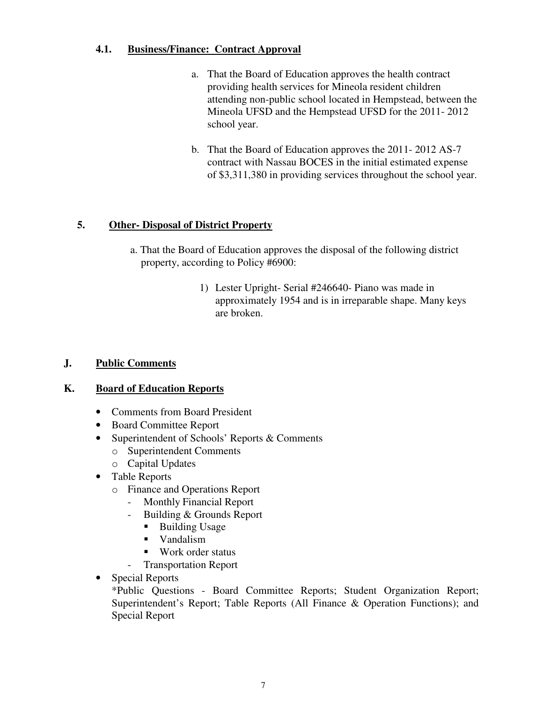# **4.1. Business/Finance: Contract Approval**

- a. That the Board of Education approves the health contract providing health services for Mineola resident children attending non-public school located in Hempstead, between the Mineola UFSD and the Hempstead UFSD for the 2011- 2012 school year.
- b. That the Board of Education approves the 2011- 2012 AS-7 contract with Nassau BOCES in the initial estimated expense of \$3,311,380 in providing services throughout the school year.

# **5. Other- Disposal of District Property**

- a. That the Board of Education approves the disposal of the following district property, according to Policy #6900:
	- 1) Lester Upright- Serial #246640- Piano was made in approximately 1954 and is in irreparable shape. Many keys are broken.

# **J. Public Comments**

# **K. Board of Education Reports**

- Comments from Board President
- Board Committee Report
- Superintendent of Schools' Reports & Comments
	- o Superintendent Comments
	- o Capital Updates
- Table Reports
	- o Finance and Operations Report
		- Monthly Financial Report
		- Building & Grounds Report
			- Building Usage
			- Vandalism
			- Work order status
		- Transportation Report
- Special Reports

\*Public Questions - Board Committee Reports; Student Organization Report; Superintendent's Report; Table Reports (All Finance & Operation Functions); and Special Report